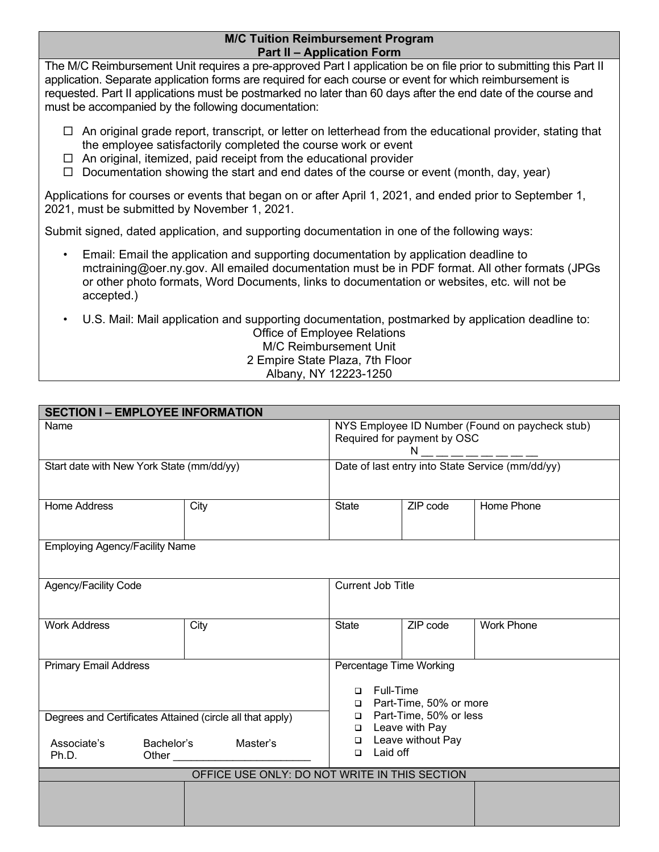## **M/C Tuition Reimbursement Program Part II – Application Form**

The M/C Reimbursement Unit requires a pre-approved Part I application be on file prior to submitting this Part II application. Separate application forms are required for each course or event for which reimbursement is requested. Part II applications must be postmarked no later than 60 days after the end date of the course and must be accompanied by the following documentation:

- $\Box$  An original grade report, transcript, or letter on letterhead from the educational provider, stating that the employee satisfactorily completed the course work or event
- $\Box$  An original, itemized, paid receipt from the educational provider
- $\Box$  Documentation showing the start and end dates of the course or event (month, day, year)

Applications for courses or events that began on or after April 1, 2021, and ended prior to September 1, 2021, must be submitted by November 1, 2021.

Submit signed, dated application, and supporting documentation in one of the following ways:

- Email: Email the application and supporting documentation by application deadline to mctraining@oer.ny.gov. All emailed documentation must be in PDF format. All other formats (JPGs or other photo formats, Word Documents, links to documentation or websites, etc. will not be accepted.)
- U.S. Mail: Mail application and supporting documentation, postmarked by application deadline to:

## Office of Employee Relations M/C Reimbursement Unit 2 Empire State Plaza, 7th Floor Albany, NY 12223-1250

| <b>SECTION I-EMPLOYEE INFORMATION</b>                                                                                |      |                                                                                                                                                                                              |          |                   |  |  |  |
|----------------------------------------------------------------------------------------------------------------------|------|----------------------------------------------------------------------------------------------------------------------------------------------------------------------------------------------|----------|-------------------|--|--|--|
| Name                                                                                                                 |      | NYS Employee ID Number (Found on paycheck stub)<br>Required for payment by OSC<br>N __ __ __ __ <del>__ __</del>                                                                             |          |                   |  |  |  |
| Start date with New York State (mm/dd/yy)                                                                            |      | Date of last entry into State Service (mm/dd/yy)                                                                                                                                             |          |                   |  |  |  |
| <b>Home Address</b>                                                                                                  | City | <b>State</b>                                                                                                                                                                                 | ZIP code | Home Phone        |  |  |  |
| <b>Employing Agency/Facility Name</b>                                                                                |      |                                                                                                                                                                                              |          |                   |  |  |  |
| Agency/Facility Code                                                                                                 |      | <b>Current Job Title</b>                                                                                                                                                                     |          |                   |  |  |  |
| <b>Work Address</b>                                                                                                  | City | <b>State</b>                                                                                                                                                                                 | ZIP code | <b>Work Phone</b> |  |  |  |
| <b>Primary Email Address</b>                                                                                         |      | Percentage Time Working<br><b>Full-Time</b><br>$\Box$<br>Part-Time, 50% or more<br>$\Box$<br>□ Part-Time, 50% or less<br>Leave with Pay<br>$\Box$<br>Leave without Pay<br>□<br>Laid off<br>▫ |          |                   |  |  |  |
| Degrees and Certificates Attained (circle all that apply)<br>Associate's<br>Bachelor's<br>Master's<br>Ph.D.<br>Other |      |                                                                                                                                                                                              |          |                   |  |  |  |
| OFFICE USE ONLY: DO NOT WRITE IN THIS SECTION                                                                        |      |                                                                                                                                                                                              |          |                   |  |  |  |
|                                                                                                                      |      |                                                                                                                                                                                              |          |                   |  |  |  |